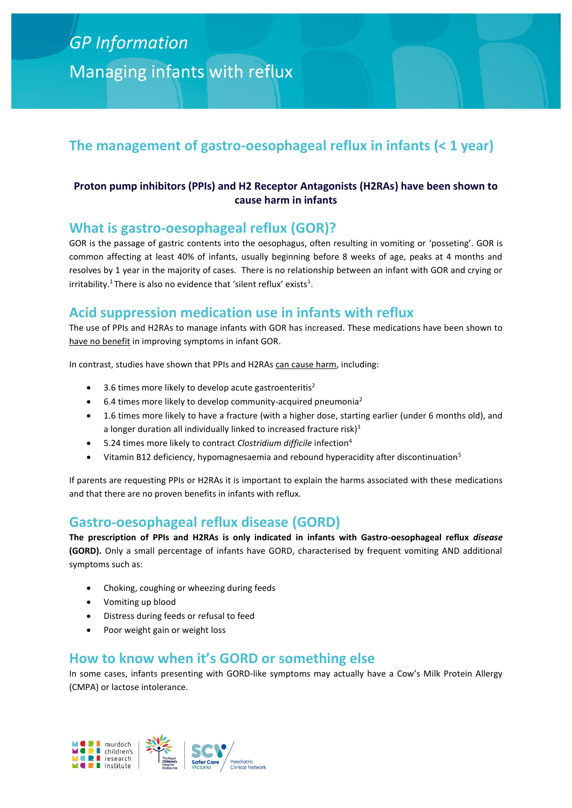# *GP Information* Managing infants with reflux

# **The management of gastro-oesophageal reflux in infants (< 1 year)**

## **Proton pump inhibitors (PPIs) and H2 Receptor Antagonists (H2RAs) have been shown to cause harm in infants**

## **What is gastro-oesophageal reflux (GOR)?**

GOR is the passage of gastric contents into the oesophagus, often resulting in vomiting or 'posseting'. GOR is common affecting at least 40% of infants, usually beginning before 8 weeks of age, peaks at 4 months and resolves by 1 year in the majority of cases. There is no relationship between an infant with GOR and crying or irritability.<sup>1</sup> There is also no evidence that 'silent reflux' exists<sup>1</sup>.

# **Acid suppression medication use in infants with reflux**

The use of PPIs and H2RAs to manage infants with GOR has increased. These medications have been shown to have no benefit in improving symptoms in infant GOR.

In contrast, studies have shown that PPIs and H2RAs can cause harm, including:

- 3.6 times more likely to develop acute gastroenteritis<sup>2</sup>
- 6.4 times more likely to develop community-acquired pneumonia<sup>2</sup>
- 1.6 times more likely to have a fracture (with a higher dose, starting earlier (under 6 months old), and a longer duration all individually linked to increased fracture risk) $3$
- 5.24 times more likely to contract *Clostridium difficile* infection<sup>4</sup>
- Vitamin B12 deficiency, hypomagnesaemia and rebound hyperacidity after discontinuation<sup>5</sup>

If parents are requesting PPIs or H2RAs it is important to explain the harms associated with these medications and that there are no proven benefits in infants with reflux.

## **Gastro-oesophageal reflux disease (GORD)**

**The prescription of PPIs and H2RAs is only indicated in infants with Gastro-oesophageal reflux** *disease*  **(GORD).** Only a small percentage of infants have GORD, characterised by frequent vomiting AND additional symptoms such as:

- Choking, coughing or wheezing during feeds
- Vomiting up blood
- Distress during feeds or refusal to feed
- Poor weight gain or weight loss

## **How to know when it's GORD or something else**

In some cases, infants presenting with GORD-like symptoms may actually have a Cow's Milk Protein Allergy (CMPA) or lactose intolerance.

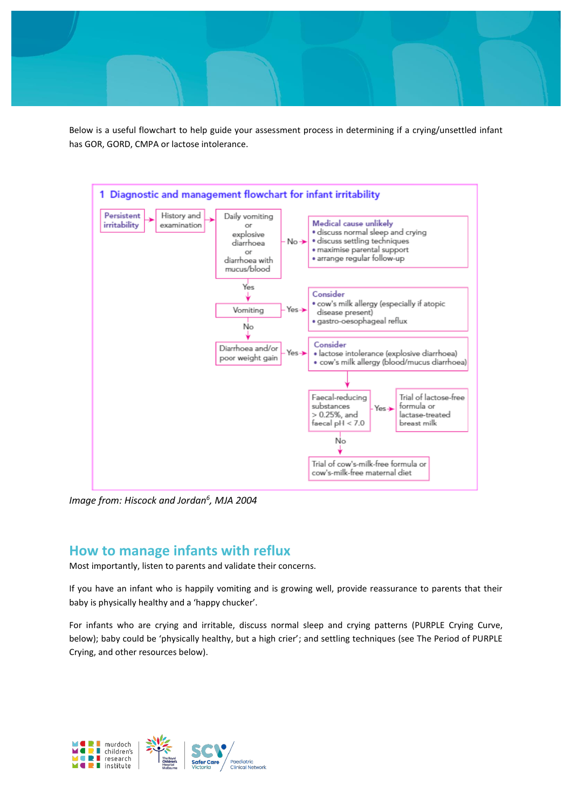Below is a useful flowchart to help guide your assessment process in determining if a crying/unsettled infant has GOR, GORD, CMPA or lactose intolerance.



*Image from: Hiscock and Jordan<sup>6</sup> , MJA 2004*

## **How to manage infants with reflux**

Most importantly, listen to parents and validate their concerns.

If you have an infant who is happily vomiting and is growing well, provide reassurance to parents that their baby is physically healthy and a 'happy chucker'.

For infants who are crying and irritable, discuss normal sleep and crying patterns (PURPLE Crying Curve, below); baby could be 'physically healthy, but a high crier'; and settling techniques (see The Period of PURPLE Crying, and other resources below).

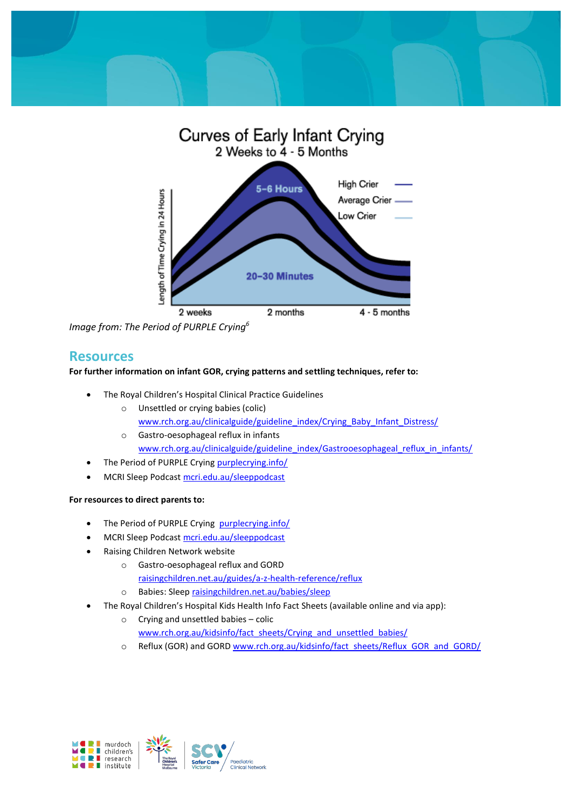



*Image from: The Period of PURPLE Crying<sup>6</sup>*

## **Resources**

#### **For further information on infant GOR, crying patterns and settling techniques, refer to:**

- The Royal Children's Hospital Clinical Practice Guidelines
	- o Unsettled or crying babies (colic) [www.rch.org.au/clinicalguide/guideline\\_index/Crying\\_Baby\\_Infant\\_Distress/](http://www.rch.org.au/clinicalguide/guideline_index/Crying_Baby_Infant_Distress/)
	- o Gastro-oesophageal reflux in infants [www.rch.org.au/clinicalguide/guideline\\_index/Gastrooesophageal\\_reflux\\_in\\_infants/](http://www.rch.org.au/clinicalguide/guideline_index/Gastrooesophageal_reflux_in_infants/)
- The Period of PURPLE Crying [purplecrying.info/](http://purplecrying.info/)
- MCRI Sleep Podcas[t mcri.edu.au/sleeppodcast](https://www.mcri.edu.au/sleeppodcast)

#### **For resources to direct parents to:**

- The Period of PURPLE Crying purplecrying.info/
- MCRI Sleep Podcas[t mcri.edu.au/sleeppodcast](https://www.mcri.edu.au/sleeppodcast)
- Raising Children Network website
	- o Gastro-oesophageal reflux and GORD [raisingchildren.net.au/guides/a-z-health-reference/reflux](https://raisingchildren.net.au/guides/a-z-health-reference/reflux)
	- o Babies: Sleep [raisingchildren.net.au/babies/sleep](https://raisingchildren.net.au/babies/sleep)
- The Royal Children's Hospital Kids Health Info Fact Sheets (available online and via app):
	- o Crying and unsettled babies colic [www.rch.org.au/kidsinfo/fact\\_sheets/Crying\\_and\\_unsettled\\_babies/](http://www.rch.org.au/kidsinfo/fact_sheets/Crying_and_unsettled_babies/)
	- o Reflux (GOR) and GOR[D www.rch.org.au/kidsinfo/fact\\_sheets/Reflux\\_GOR\\_and\\_GORD/](http://www.rch.org.au/kidsinfo/fact_sheets/Reflux_GOR_and_GORD/)